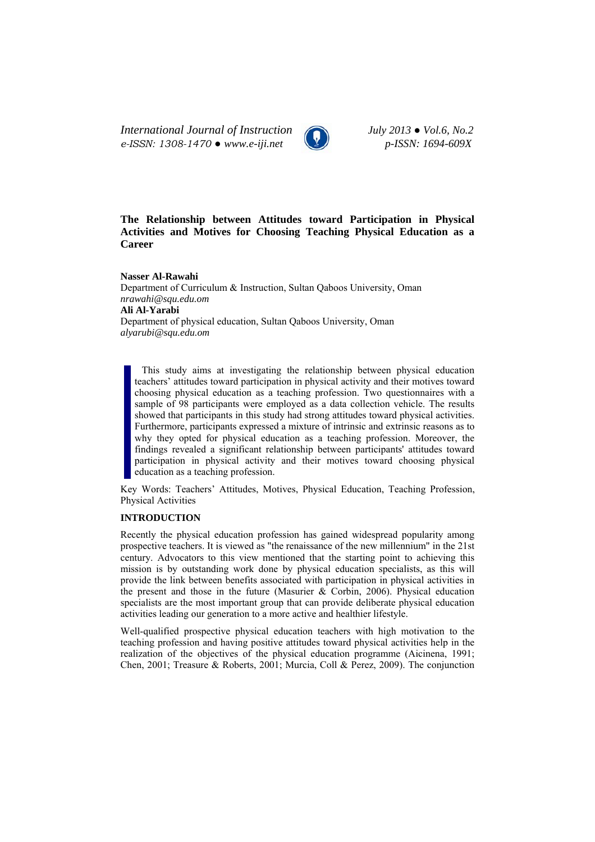*International Journal of Instruction July 2013 ● Vol.6, No.2 e-ISSN: 1308-1470 ● www.e-iji.net p-ISSN: 1694-609X*



# **The Relationship between Attitudes toward Participation in Physical Activities and Motives for Choosing Teaching Physical Education as a Career**

**Nasser Al-Rawahi**  Department of Curriculum & Instruction, Sultan Qaboos University, Oman *nrawahi@squ.edu.om* **Ali Al-Yarabi**  Department of physical education, Sultan Qaboos University, Oman *alyarubi@squ.edu.om*

This study aims at investigating the relationship between physical education teachers' attitudes toward participation in physical activity and their motives toward choosing physical education as a teaching profession. Two questionnaires with a sample of 98 participants were employed as a data collection vehicle. The results showed that participants in this study had strong attitudes toward physical activities. Furthermore, participants expressed a mixture of intrinsic and extrinsic reasons as to why they opted for physical education as a teaching profession. Moreover, the findings revealed a significant relationship between participants' attitudes toward participation in physical activity and their motives toward choosing physical education as a teaching profession.

Key Words: Teachers' Attitudes, Motives, Physical Education, Teaching Profession, Physical Activities

## **INTRODUCTION**

Recently the physical education profession has gained widespread popularity among prospective teachers. It is viewed as "the renaissance of the new millennium" in the 21st century. Advocators to this view mentioned that the starting point to achieving this mission is by outstanding work done by physical education specialists, as this will provide the link between benefits associated with participation in physical activities in the present and those in the future (Masurier  $\&$  Corbin, 2006). Physical education specialists are the most important group that can provide deliberate physical education activities leading our generation to a more active and healthier lifestyle.

Well-qualified prospective physical education teachers with high motivation to the teaching profession and having positive attitudes toward physical activities help in the realization of the objectives of the physical education programme (Aicinena, 1991; Chen, 2001; Treasure & Roberts, 2001; Murcia, Coll & Perez, 2009). The conjunction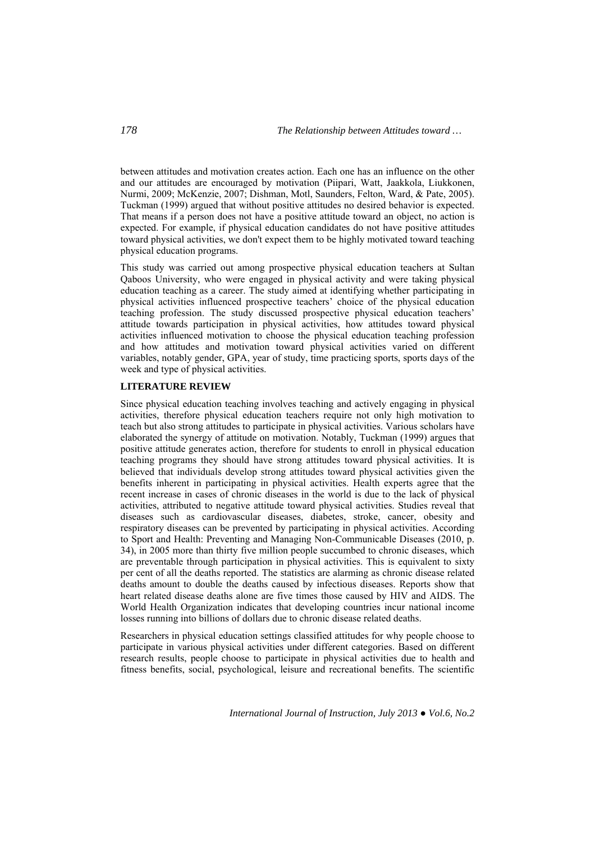between attitudes and motivation creates action. Each one has an influence on the other and our attitudes are encouraged by motivation (Piipari, Watt, Jaakkola, Liukkonen, Nurmi, 2009; McKenzie, 2007; Dishman, Motl, Saunders, Felton, Ward, & Pate, 2005). Tuckman (1999) argued that without positive attitudes no desired behavior is expected. That means if a person does not have a positive attitude toward an object, no action is expected. For example, if physical education candidates do not have positive attitudes toward physical activities, we don't expect them to be highly motivated toward teaching physical education programs.

This study was carried out among prospective physical education teachers at Sultan Qaboos University, who were engaged in physical activity and were taking physical education teaching as a career. The study aimed at identifying whether participating in physical activities influenced prospective teachers' choice of the physical education teaching profession. The study discussed prospective physical education teachers' attitude towards participation in physical activities, how attitudes toward physical activities influenced motivation to choose the physical education teaching profession and how attitudes and motivation toward physical activities varied on different variables, notably gender, GPA, year of study, time practicing sports, sports days of the week and type of physical activities.

## **LITERATURE REVIEW**

Since physical education teaching involves teaching and actively engaging in physical activities, therefore physical education teachers require not only high motivation to teach but also strong attitudes to participate in physical activities. Various scholars have elaborated the synergy of attitude on motivation. Notably, Tuckman (1999) argues that positive attitude generates action, therefore for students to enroll in physical education teaching programs they should have strong attitudes toward physical activities. It is believed that individuals develop strong attitudes toward physical activities given the benefits inherent in participating in physical activities. Health experts agree that the recent increase in cases of chronic diseases in the world is due to the lack of physical activities, attributed to negative attitude toward physical activities. Studies reveal that diseases such as cardiovascular diseases, diabetes, stroke, cancer, obesity and respiratory diseases can be prevented by participating in physical activities. According to Sport and Health: Preventing and Managing Non-Communicable Diseases (2010, p. 34), in 2005 more than thirty five million people succumbed to chronic diseases, which are preventable through participation in physical activities. This is equivalent to sixty per cent of all the deaths reported. The statistics are alarming as chronic disease related deaths amount to double the deaths caused by infectious diseases. Reports show that heart related disease deaths alone are five times those caused by HIV and AIDS. The World Health Organization indicates that developing countries incur national income losses running into billions of dollars due to chronic disease related deaths.

Researchers in physical education settings classified attitudes for why people choose to participate in various physical activities under different categories. Based on different research results, people choose to participate in physical activities due to health and fitness benefits, social, psychological, leisure and recreational benefits. The scientific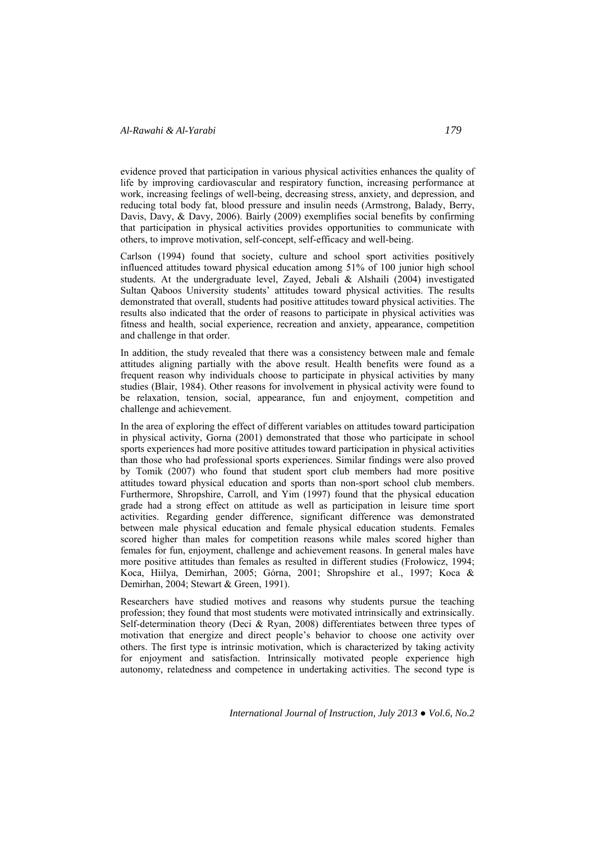evidence proved that participation in various physical activities enhances the quality of life by improving cardiovascular and respiratory function, increasing performance at work, increasing feelings of well-being, decreasing stress, anxiety, and depression, and reducing total body fat, blood pressure and insulin needs (Armstrong, Balady, Berry, Davis, Davy, & Davy, 2006). Bairly (2009) exemplifies social benefits by confirming that participation in physical activities provides opportunities to communicate with others, to improve motivation, self-concept, self-efficacy and well-being.

Carlson (1994) found that society, culture and school sport activities positively influenced attitudes toward physical education among 51% of 100 junior high school students. At the undergraduate level, Zayed, Jebali & Alshaili (2004) investigated Sultan Qaboos University students' attitudes toward physical activities. The results demonstrated that overall, students had positive attitudes toward physical activities. The results also indicated that the order of reasons to participate in physical activities was fitness and health, social experience, recreation and anxiety, appearance, competition and challenge in that order.

In addition, the study revealed that there was a consistency between male and female attitudes aligning partially with the above result. Health benefits were found as a frequent reason why individuals choose to participate in physical activities by many studies (Blair, 1984). Other reasons for involvement in physical activity were found to be relaxation, tension, social, appearance, fun and enjoyment, competition and challenge and achievement.

In the area of exploring the effect of different variables on attitudes toward participation in physical activity, Gorna (2001) demonstrated that those who participate in school sports experiences had more positive attitudes toward participation in physical activities than those who had professional sports experiences. Similar findings were also proved by Tomik (2007) who found that student sport club members had more positive attitudes toward physical education and sports than non-sport school club members. Furthermore, Shropshire, Carroll, and Yim (1997) found that the physical education grade had a strong effect on attitude as well as participation in leisure time sport activities. Regarding gender difference, significant difference was demonstrated between male physical education and female physical education students. Females scored higher than males for competition reasons while males scored higher than females for fun, enjoyment, challenge and achievement reasons. In general males have more positive attitudes than females as resulted in different studies (Frołowicz, 1994; Koca, Hiilya, Demirhan, 2005; Górna, 2001; Shropshire et al., 1997; Koca & Demirhan, 2004; Stewart & Green, 1991).

Researchers have studied motives and reasons why students pursue the teaching profession; they found that most students were motivated intrinsically and extrinsically. Self-determination theory (Deci & Ryan, 2008) differentiates between three types of motivation that energize and direct people's behavior to choose one activity over others. The first type is intrinsic motivation, which is characterized by taking activity for enjoyment and satisfaction. Intrinsically motivated people experience high autonomy, relatedness and competence in undertaking activities. The second type is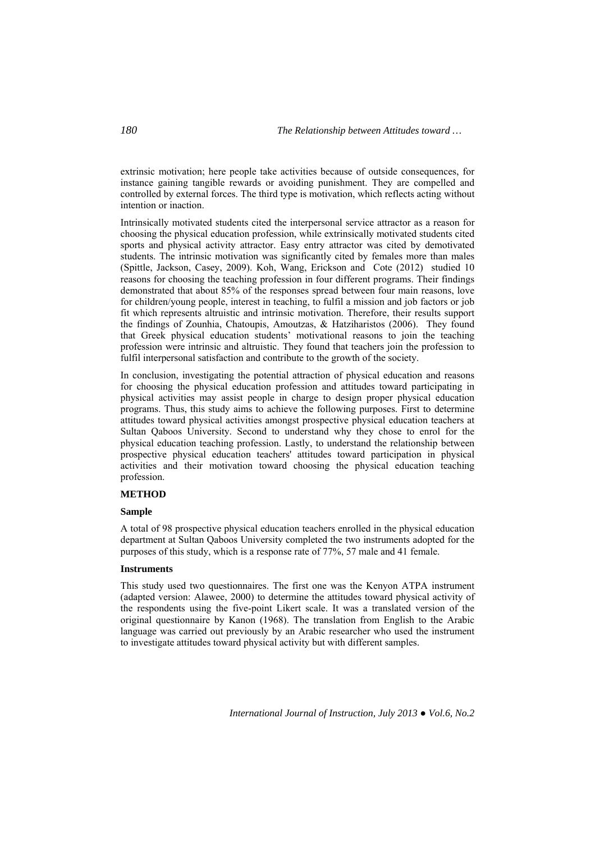extrinsic motivation; here people take activities because of outside consequences, for instance gaining tangible rewards or avoiding punishment. They are compelled and controlled by external forces. The third type is motivation, which reflects acting without intention or inaction.

Intrinsically motivated students cited the interpersonal service attractor as a reason for choosing the physical education profession, while extrinsically motivated students cited sports and physical activity attractor. Easy entry attractor was cited by demotivated students. The intrinsic motivation was significantly cited by females more than males (Spittle, Jackson, Casey, 2009). Koh, Wang, Erickson and Cote (2012) studied 10 reasons for choosing the teaching profession in four different programs. Their findings demonstrated that about 85% of the responses spread between four main reasons, love for children/young people, interest in teaching, to fulfil a mission and job factors or job fit which represents altruistic and intrinsic motivation. Therefore, their results support the findings of Zounhia, Chatoupis, Amoutzas, & Hatziharistos (2006). They found that Greek physical education students' motivational reasons to join the teaching profession were intrinsic and altruistic. They found that teachers join the profession to fulfil interpersonal satisfaction and contribute to the growth of the society.

In conclusion, investigating the potential attraction of physical education and reasons for choosing the physical education profession and attitudes toward participating in physical activities may assist people in charge to design proper physical education programs. Thus, this study aims to achieve the following purposes. First to determine attitudes toward physical activities amongst prospective physical education teachers at Sultan Qaboos University. Second to understand why they chose to enrol for the physical education teaching profession. Lastly, to understand the relationship between prospective physical education teachers' attitudes toward participation in physical activities and their motivation toward choosing the physical education teaching profession.

#### **METHOD**

## **Sample**

A total of 98 prospective physical education teachers enrolled in the physical education department at Sultan Qaboos University completed the two instruments adopted for the purposes of this study, which is a response rate of 77%, 57 male and 41 female.

## **Instruments**

This study used two questionnaires. The first one was the Kenyon ATPA instrument (adapted version: Alawee, 2000) to determine the attitudes toward physical activity of the respondents using the five-point Likert scale. It was a translated version of the original questionnaire by Kanon (1968). The translation from English to the Arabic language was carried out previously by an Arabic researcher who used the instrument to investigate attitudes toward physical activity but with different samples.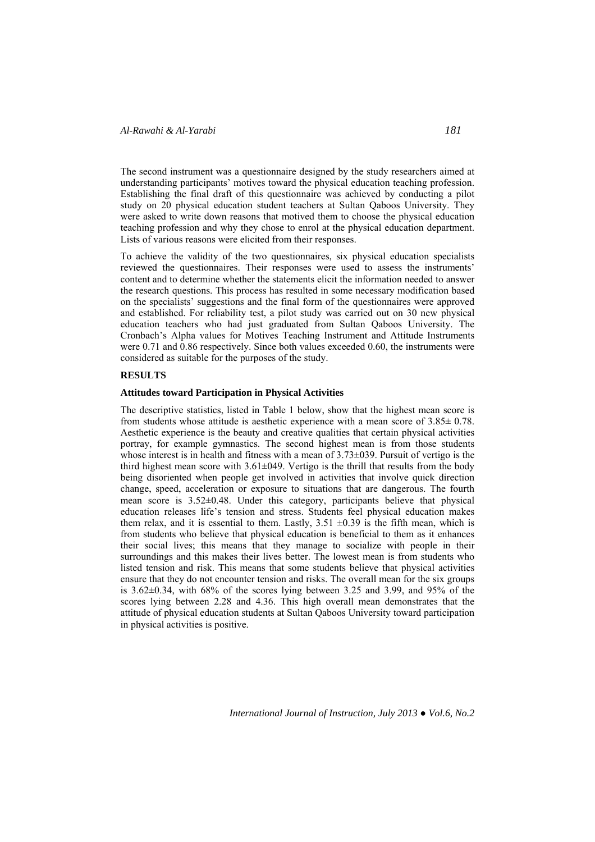The second instrument was a questionnaire designed by the study researchers aimed at understanding participants' motives toward the physical education teaching profession. Establishing the final draft of this questionnaire was achieved by conducting a pilot study on 20 physical education student teachers at Sultan Qaboos University. They were asked to write down reasons that motived them to choose the physical education teaching profession and why they chose to enrol at the physical education department. Lists of various reasons were elicited from their responses.

To achieve the validity of the two questionnaires, six physical education specialists reviewed the questionnaires. Their responses were used to assess the instruments' content and to determine whether the statements elicit the information needed to answer the research questions. This process has resulted in some necessary modification based on the specialists' suggestions and the final form of the questionnaires were approved and established. For reliability test, a pilot study was carried out on 30 new physical education teachers who had just graduated from Sultan Qaboos University. The Cronbach's Alpha values for Motives Teaching Instrument and Attitude Instruments were 0.71 and 0.86 respectively. Since both values exceeded 0.60, the instruments were considered as suitable for the purposes of the study.

## **RESULTS**

#### **Attitudes toward Participation in Physical Activities**

The descriptive statistics, listed in Table 1 below, show that the highest mean score is from students whose attitude is aesthetic experience with a mean score of  $3.85 \pm 0.78$ . Aesthetic experience is the beauty and creative qualities that certain physical activities portray, for example gymnastics. The second highest mean is from those students whose interest is in health and fitness with a mean of  $3.73\pm0.39$ . Pursuit of vertigo is the third highest mean score with  $3.61 \pm 049$ . Vertigo is the thrill that results from the body being disoriented when people get involved in activities that involve quick direction change, speed, acceleration or exposure to situations that are dangerous. The fourth mean score is 3.52±0.48. Under this category, participants believe that physical education releases life's tension and stress. Students feel physical education makes them relax, and it is essential to them. Lastly,  $3.51 \pm 0.39$  is the fifth mean, which is from students who believe that physical education is beneficial to them as it enhances their social lives; this means that they manage to socialize with people in their surroundings and this makes their lives better. The lowest mean is from students who listed tension and risk. This means that some students believe that physical activities ensure that they do not encounter tension and risks. The overall mean for the six groups is  $3.62\pm0.34$ , with  $68\%$  of the scores lying between 3.25 and 3.99, and 95% of the scores lying between 2.28 and 4.36. This high overall mean demonstrates that the attitude of physical education students at Sultan Qaboos University toward participation in physical activities is positive.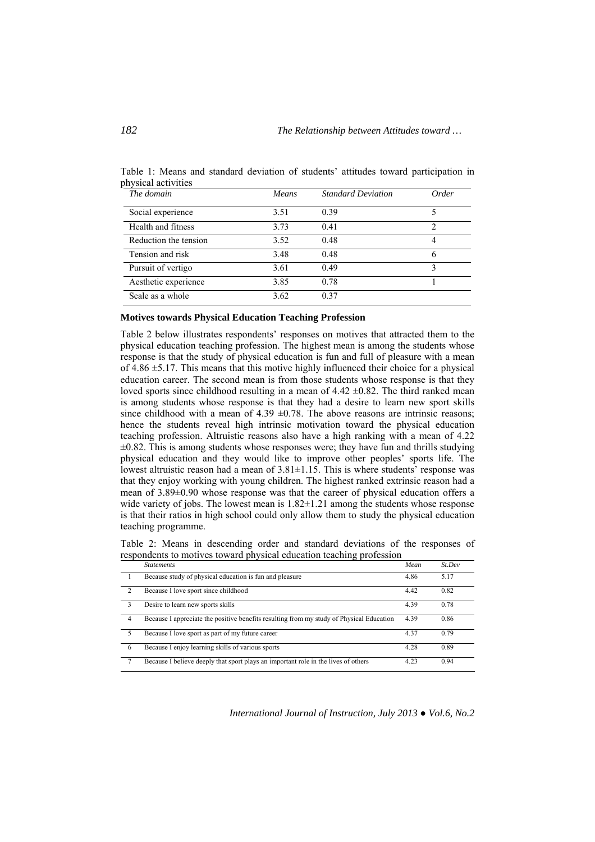| The domain            | Means | <b>Standard Deviation</b> | Order |  |
|-----------------------|-------|---------------------------|-------|--|
| Social experience     | 3.51  | 0.39                      |       |  |
| Health and fitness    | 3.73  | 0.41                      | 2     |  |
| Reduction the tension | 3.52  | 0.48                      | 4     |  |
| Tension and risk      | 3.48  | 0.48                      |       |  |
| Pursuit of vertigo    | 3.61  | 0.49                      |       |  |
| Aesthetic experience  | 3.85  | 0.78                      |       |  |
| Scale as a whole      | 3.62  | 0.37                      |       |  |

Table 1: Means and standard deviation of students' attitudes toward participation in physical activities

#### **Motives towards Physical Education Teaching Profession**

Table 2 below illustrates respondents' responses on motives that attracted them to the physical education teaching profession. The highest mean is among the students whose response is that the study of physical education is fun and full of pleasure with a mean of  $4.86 \pm 5.17$ . This means that this motive highly influenced their choice for a physical education career. The second mean is from those students whose response is that they loved sports since childhood resulting in a mean of  $4.42 \pm 0.82$ . The third ranked mean is among students whose response is that they had a desire to learn new sport skills since childhood with a mean of  $4.39 \pm 0.78$ . The above reasons are intrinsic reasons; hence the students reveal high intrinsic motivation toward the physical education teaching profession. Altruistic reasons also have a high ranking with a mean of 4.22  $\pm 0.82$ . This is among students whose responses were; they have fun and thrills studying physical education and they would like to improve other peoples' sports life. The lowest altruistic reason had a mean of 3.81±1.15. This is where students' response was that they enjoy working with young children. The highest ranked extrinsic reason had a mean of 3.89±0.90 whose response was that the career of physical education offers a wide variety of jobs. The lowest mean is  $1.82 \pm 1.21$  among the students whose response is that their ratios in high school could only allow them to study the physical education teaching programme.

Table 2: Means in descending order and standard deviations of the responses of respondents to motives toward physical education teaching profession

|                | <b>Statements</b>                                                                        | Mean | St. Dev |
|----------------|------------------------------------------------------------------------------------------|------|---------|
|                | Because study of physical education is fun and pleasure                                  | 4.86 | 5.17    |
| $\mathfrak{D}$ | Because I love sport since childhood                                                     | 4.42 | 0.82    |
| 3              | Desire to learn new sports skills                                                        | 4.39 | 0.78    |
| $\overline{4}$ | Because I appreciate the positive benefits resulting from my study of Physical Education | 4.39 | 0.86    |
|                | Because I love sport as part of my future career                                         | 4.37 | 0.79    |
| - 6            | Because I enjoy learning skills of various sports                                        | 4.28 | 0.89    |
|                | Because I believe deeply that sport plays an important role in the lives of others       | 4.23 | 0.94    |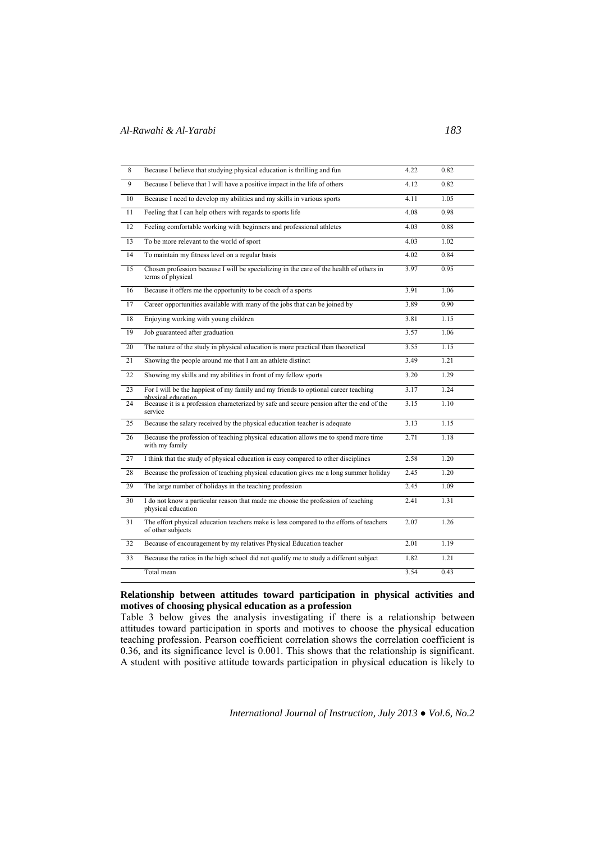| 8               | Because I believe that studying physical education is thrilling and fun                                      | 4.22 | 0.82 |
|-----------------|--------------------------------------------------------------------------------------------------------------|------|------|
| $\overline{9}$  | Because I believe that I will have a positive impact in the life of others                                   | 4.12 | 0.82 |
| 10              | Because I need to develop my abilities and my skills in various sports                                       | 4.11 | 1.05 |
| $\overline{11}$ | Feeling that I can help others with regards to sports life                                                   | 4.08 | 0.98 |
| $\overline{12}$ | Feeling comfortable working with beginners and professional athletes                                         | 4.03 | 0.88 |
| 13              | To be more relevant to the world of sport                                                                    | 4.03 | 1.02 |
| 14              | To maintain my fitness level on a regular basis                                                              | 4.02 | 0.84 |
| $\overline{15}$ | Chosen profession because I will be specializing in the care of the health of others in<br>terms of physical | 3.97 | 0.95 |
| 16              | Because it offers me the opportunity to be coach of a sports                                                 | 3.91 | 1.06 |
| 17              | Career opportunities available with many of the jobs that can be joined by                                   | 3.89 | 0.90 |
| 18              | Enjoying working with young children                                                                         | 3.81 | 1.15 |
| 19              | Job guaranteed after graduation                                                                              | 3.57 | 1.06 |
| $\overline{20}$ | The nature of the study in physical education is more practical than theoretical                             | 3.55 | 1.15 |
| 21              | Showing the people around me that I am an athlete distinct                                                   | 3.49 | 1.21 |
| 22              | Showing my skills and my abilities in front of my fellow sports                                              | 3.20 | 1.29 |
| 23              | For I will be the happiest of my family and my friends to optional career teaching<br>nhysical education     | 3.17 | 1.24 |
| 24              | Because it is a profession characterized by safe and secure pension after the end of the<br>service          | 3.15 | 1.10 |
| 25              | Because the salary received by the physical education teacher is adequate                                    | 3.13 | 1.15 |
| 26              | Because the profession of teaching physical education allows me to spend more time<br>with my family         | 2.71 | 1.18 |
| 27              | I think that the study of physical education is easy compared to other disciplines                           | 2.58 | 1.20 |
| 28              | Because the profession of teaching physical education gives me a long summer holiday                         | 2.45 | 1.20 |
| 29              | The large number of holidays in the teaching profession                                                      | 2.45 | 1.09 |
| 30              | I do not know a particular reason that made me choose the profession of teaching<br>physical education       | 2.41 | 1.31 |
| 31              | The effort physical education teachers make is less compared to the efforts of teachers<br>of other subjects | 2.07 | 1.26 |
| 32              | Because of encouragement by my relatives Physical Education teacher                                          | 2.01 | 1.19 |
| 33              | Because the ratios in the high school did not qualify me to study a different subject                        | 1.82 | 1.21 |
|                 | Total mean                                                                                                   | 3.54 | 0.43 |

## **Relationship between attitudes toward participation in physical activities and motives of choosing physical education as a profession**

Table 3 below gives the analysis investigating if there is a relationship between attitudes toward participation in sports and motives to choose the physical education teaching profession. Pearson coefficient correlation shows the correlation coefficient is 0.36, and its significance level is 0.001. This shows that the relationship is significant. A student with positive attitude towards participation in physical education is likely to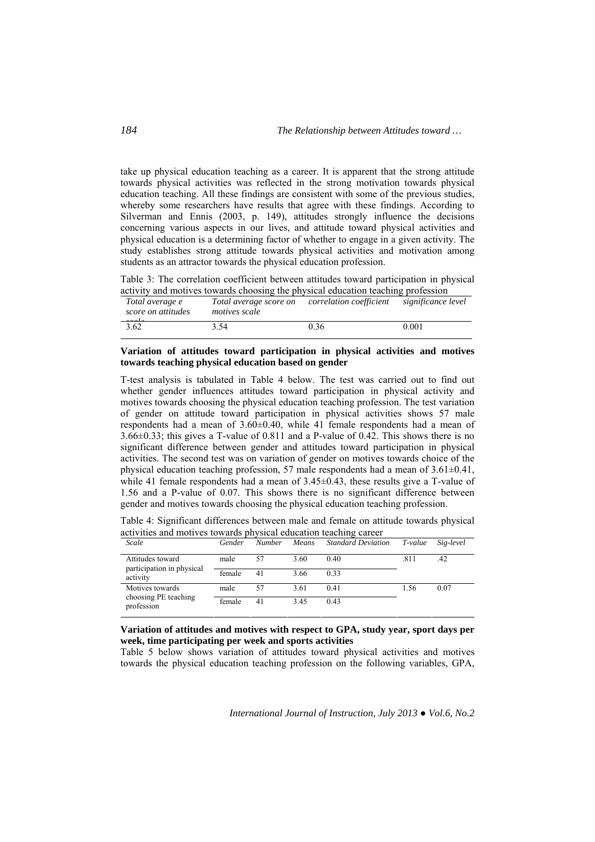take up physical education teaching as a career. It is apparent that the strong attitude towards physical activities was reflected in the strong motivation towards physical education teaching. All these findings are consistent with some of the previous studies, whereby some researchers have results that agree with these findings. According to Silverman and Ennis (2003, p. 149), attitudes strongly influence the decisions concerning various aspects in our lives, and attitude toward physical activities and physical education is a determining factor of whether to engage in a given activity. The study establishes strong attitude towards physical activities and motivation among students as an attractor towards the physical education profession.

Table 3: The correlation coefficient between attitudes toward participation in physical activity and motives towards choosing the physical education teaching profession

| Total average e<br>score on attitudes | Total average score on<br><i>motives scale</i> | correlation coefficient | significance level |
|---------------------------------------|------------------------------------------------|-------------------------|--------------------|
| 3.62                                  | 3.54                                           | 0.36                    | 0.001              |

## **Variation of attitudes toward participation in physical activities and motives towards teaching physical education based on gender**

T-test analysis is tabulated in Table 4 below. The test was carried out to find out whether gender influences attitudes toward participation in physical activity and motives towards choosing the physical education teaching profession. The test variation of gender on attitude toward participation in physical activities shows 57 male respondents had a mean of 3.60±0.40, while 41 female respondents had a mean of 3.66±0.33; this gives a T-value of 0.811 and a P-value of 0.42. This shows there is no significant difference between gender and attitudes toward participation in physical activities. The second test was on variation of gender on motives towards choice of the physical education teaching profession, 57 male respondents had a mean of 3.61±0.41, while 41 female respondents had a mean of  $3.45\pm0.43$ , these results give a T-value of 1.56 and a P-value of 0.07. This shows there is no significant difference between gender and motives towards choosing the physical education teaching profession.

Table 4: Significant differences between male and female on attitude towards physical activities and motives towards physical education teaching career

| Scale                                   | Gender | <b>Number</b> | Means | <b>Standard Deviation</b> | T-value | Sig-level |
|-----------------------------------------|--------|---------------|-------|---------------------------|---------|-----------|
| Attitudes toward                        | male   | 57            | 3.60  | 0.40                      | .811    | .42       |
| participation in physical<br>activity   | female | 41            | 3.66  | 0.33                      |         |           |
| Motives towards<br>choosing PE teaching | male   | 57            | 3.61  | 0.41                      | 1.56    | 0.07      |
| profession                              | female | 41            | 3.45  | 0.43                      |         |           |

## **Variation of attitudes and motives with respect to GPA, study year, sport days per week, time participating per week and sports activities**

Table 5 below shows variation of attitudes toward physical activities and motives towards the physical education teaching profession on the following variables, GPA,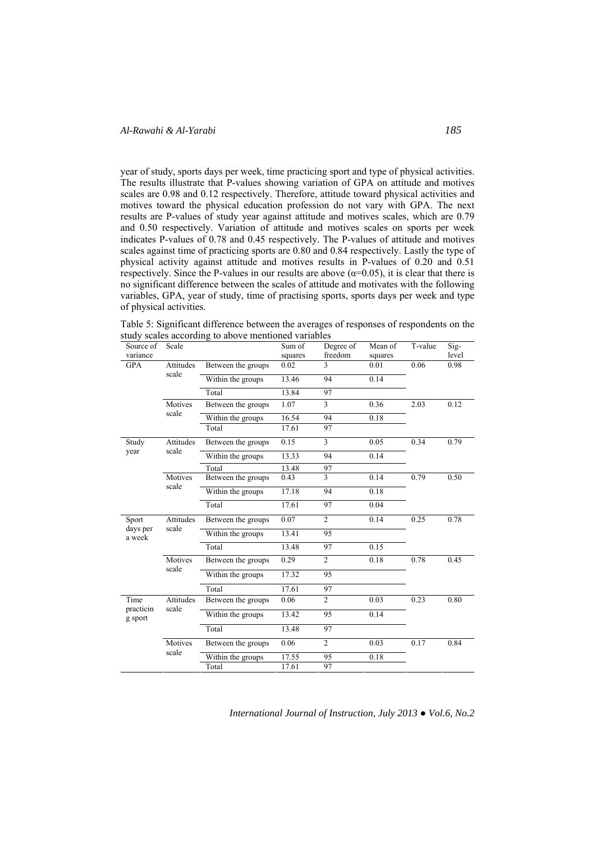year of study, sports days per week, time practicing sport and type of physical activities. The results illustrate that P-values showing variation of GPA on attitude and motives scales are 0.98 and 0.12 respectively. Therefore, attitude toward physical activities and motives toward the physical education profession do not vary with GPA. The next results are P-values of study year against attitude and motives scales, which are 0.79 and 0.50 respectively. Variation of attitude and motives scales on sports per week indicates P-values of 0.78 and 0.45 respectively. The P-values of attitude and motives scales against time of practicing sports are 0.80 and 0.84 respectively. Lastly the type of physical activity against attitude and motives results in P-values of 0.20 and 0.51 respectively. Since the P-values in our results are above ( $\alpha$ =0.05), it is clear that there is no significant difference between the scales of attitude and motivates with the following variables, GPA, year of study, time of practising sports, sports days per week and type of physical activities.

Table 5: Significant difference between the averages of responses of respondents on the study scales according to above mentioned variables

| Source of<br>variance       | Scale              |                    | Sum of<br>squares | Degree of<br>freedom | Mean of<br>squares | T-value | Sig-<br>level |
|-----------------------------|--------------------|--------------------|-------------------|----------------------|--------------------|---------|---------------|
| <b>GPA</b>                  | Attitudes          | Between the groups | 0.02              | 3                    | 0.01               | 0.06    | 0.98          |
|                             | scale              | Within the groups  | 13.46             | 94                   | 0.14               |         |               |
|                             |                    | Total              | 13.84             | 97                   |                    |         |               |
|                             | Motives            | Between the groups | 1.07              | $\overline{3}$       | 0.36               | 2.03    | 0.12          |
|                             | scale              | Within the groups  | 16.54             | 94                   | 0.18               |         |               |
|                             |                    | Total              | 17.61             | 97                   |                    |         |               |
| Study                       | Attitudes          | Between the groups | 0.15              | 3                    | 0.05               | 0.34    | 0.79          |
| year                        | scale              | Within the groups  | 13.33             | 94                   | 0.14               |         |               |
|                             |                    | Total              | 13.48             | 97                   |                    |         |               |
|                             | Motives<br>scale   | Between the groups | 0.43              | 3                    | 0.14               | 0.79    | 0.50          |
|                             |                    | Within the groups  | 17.18             | 94                   | 0.18               |         |               |
|                             |                    | Total              | 17.61             | 97                   | 0.04               |         |               |
| Sport<br>days per<br>a week | Attitudes<br>scale | Between the groups | 0.07              | $\overline{2}$       | 0.14               | 0.25    | 0.78          |
|                             |                    | Within the groups  | 13.41             | 95                   |                    |         |               |
|                             |                    | Total              | 13.48             | 97                   | 0.15               |         |               |
|                             | Motives            | Between the groups | 0.29              | $\overline{c}$       | 0.18               | 0.78    | 0.45          |
|                             | scale              | Within the groups  | 17.32             | 95                   |                    |         |               |
|                             |                    | Total              | 17.61             | 97                   |                    |         |               |
| Time                        | Attitudes<br>scale | Between the groups | 0.06              | $\overline{c}$       | 0.03               | 0.23    | 0.80          |
| practicin<br>g sport        |                    | Within the groups  | 13.42             | 95                   | 0.14               |         |               |
|                             |                    | Total              | 13.48             | 97                   |                    |         |               |
|                             | Motives<br>scale   | Between the groups | 0.06              | $\overline{2}$       | 0.03               | 0.17    | 0.84          |
|                             |                    | Within the groups  | 17.55             | 95                   | 0.18               |         |               |
|                             |                    | Total              | 17.61             | 97                   |                    |         |               |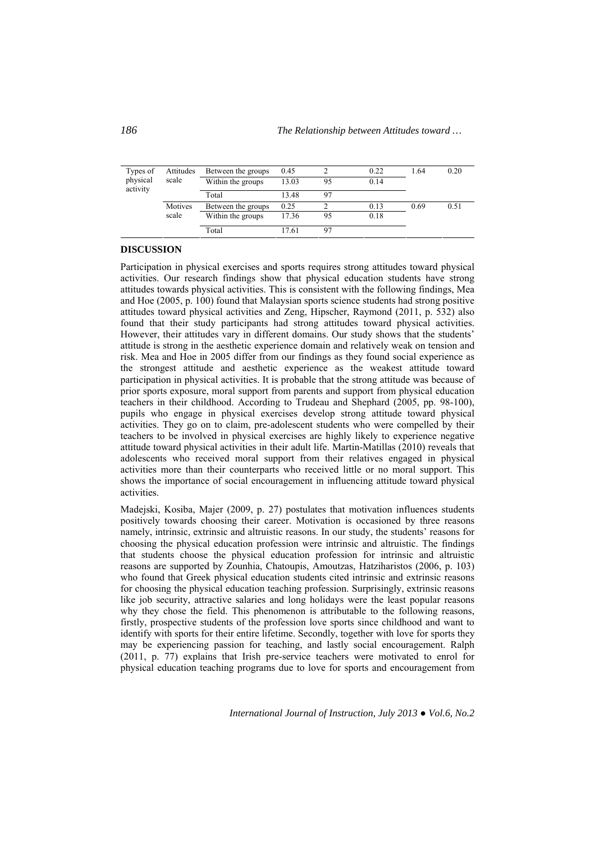| Types of<br>physical | Attitudes<br>scale | Between the groups<br>Within the groups | 0.45<br>13.03 | 95 | 0.22<br>0.14 | 1.64 | 0.20 |
|----------------------|--------------------|-----------------------------------------|---------------|----|--------------|------|------|
| activity             |                    | Total                                   | 13.48         | 97 |              |      |      |
|                      | Motives            | Between the groups                      | 0.25          |    | 0.13         | 0.69 | 0.51 |
|                      | scale              | Within the groups                       | 17.36         | 95 | 0.18         |      |      |
|                      |                    | Total                                   | 17.61         | 97 |              |      |      |

## **DISCUSSION**

Participation in physical exercises and sports requires strong attitudes toward physical activities. Our research findings show that physical education students have strong attitudes towards physical activities. This is consistent with the following findings, Mea and Hoe (2005, p. 100) found that Malaysian sports science students had strong positive attitudes toward physical activities and Zeng, Hipscher, Raymond (2011, p. 532) also found that their study participants had strong attitudes toward physical activities. However, their attitudes vary in different domains. Our study shows that the students' attitude is strong in the aesthetic experience domain and relatively weak on tension and risk. Mea and Hoe in 2005 differ from our findings as they found social experience as the strongest attitude and aesthetic experience as the weakest attitude toward participation in physical activities. It is probable that the strong attitude was because of prior sports exposure, moral support from parents and support from physical education teachers in their childhood. According to Trudeau and Shephard (2005, pp. 98-100), pupils who engage in physical exercises develop strong attitude toward physical activities. They go on to claim, pre-adolescent students who were compelled by their teachers to be involved in physical exercises are highly likely to experience negative attitude toward physical activities in their adult life. Martin-Matillas (2010) reveals that adolescents who received moral support from their relatives engaged in physical activities more than their counterparts who received little or no moral support. This shows the importance of social encouragement in influencing attitude toward physical activities.

Madejski, Kosiba, Majer (2009, p. 27) postulates that motivation influences students positively towards choosing their career. Motivation is occasioned by three reasons namely, intrinsic, extrinsic and altruistic reasons. In our study, the students' reasons for choosing the physical education profession were intrinsic and altruistic. The findings that students choose the physical education profession for intrinsic and altruistic reasons are supported by Zounhia, Chatoupis, Amoutzas, Hatziharistos (2006, p. 103) who found that Greek physical education students cited intrinsic and extrinsic reasons for choosing the physical education teaching profession. Surprisingly, extrinsic reasons like job security, attractive salaries and long holidays were the least popular reasons why they chose the field. This phenomenon is attributable to the following reasons, firstly, prospective students of the profession love sports since childhood and want to identify with sports for their entire lifetime. Secondly, together with love for sports they may be experiencing passion for teaching, and lastly social encouragement. Ralph (2011, p. 77) explains that Irish pre-service teachers were motivated to enrol for physical education teaching programs due to love for sports and encouragement from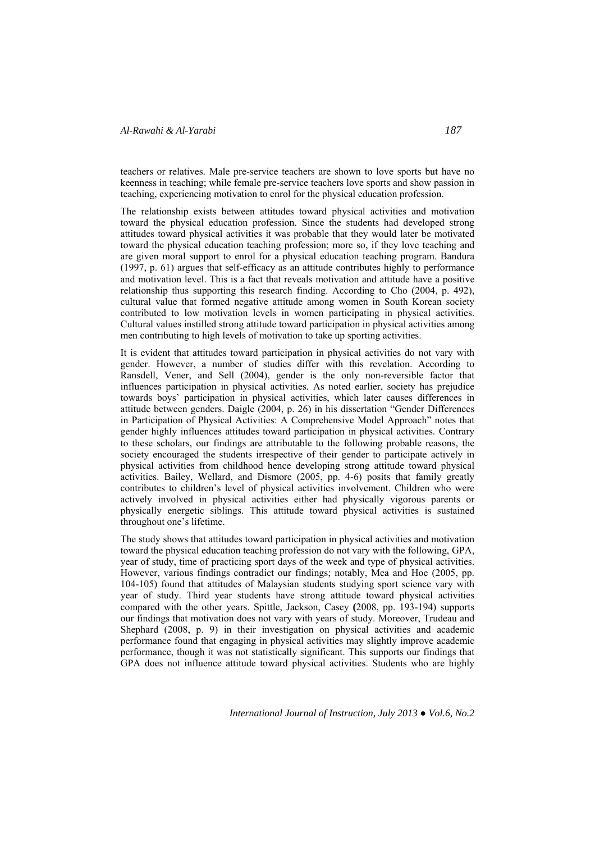teachers or relatives. Male pre-service teachers are shown to love sports but have no keenness in teaching; while female pre-service teachers love sports and show passion in teaching, experiencing motivation to enrol for the physical education profession.

The relationship exists between attitudes toward physical activities and motivation toward the physical education profession. Since the students had developed strong attitudes toward physical activities it was probable that they would later be motivated toward the physical education teaching profession; more so, if they love teaching and are given moral support to enrol for a physical education teaching program. Bandura (1997, p. 61) argues that self-efficacy as an attitude contributes highly to performance and motivation level. This is a fact that reveals motivation and attitude have a positive relationship thus supporting this research finding. According to Cho (2004, p. 492), cultural value that formed negative attitude among women in South Korean society contributed to low motivation levels in women participating in physical activities. Cultural values instilled strong attitude toward participation in physical activities among men contributing to high levels of motivation to take up sporting activities.

It is evident that attitudes toward participation in physical activities do not vary with gender. However, a number of studies differ with this revelation. According to Ransdell, Vener, and Sell (2004), gender is the only non-reversible factor that influences participation in physical activities. As noted earlier, society has prejudice towards boys' participation in physical activities, which later causes differences in attitude between genders. Daigle (2004, p. 26) in his dissertation "Gender Differences in Participation of Physical Activities: A Comprehensive Model Approach" notes that gender highly influences attitudes toward participation in physical activities. Contrary to these scholars, our findings are attributable to the following probable reasons, the society encouraged the students irrespective of their gender to participate actively in physical activities from childhood hence developing strong attitude toward physical activities. Bailey, Wellard, and Dismore (2005, pp. 4-6) posits that family greatly contributes to children's level of physical activities involvement. Children who were actively involved in physical activities either had physically vigorous parents or physically energetic siblings. This attitude toward physical activities is sustained throughout one's lifetime.

The study shows that attitudes toward participation in physical activities and motivation toward the physical education teaching profession do not vary with the following, GPA, year of study, time of practicing sport days of the week and type of physical activities. However, various findings contradict our findings; notably, Mea and Hoe (2005, pp. 104-105) found that attitudes of Malaysian students studying sport science vary with year of study. Third year students have strong attitude toward physical activities compared with the other years. Spittle, Jackson, Casey **(**2008, pp. 193-194) supports our findings that motivation does not vary with years of study. Moreover, Trudeau and Shephard (2008, p. 9) in their investigation on physical activities and academic performance found that engaging in physical activities may slightly improve academic performance, though it was not statistically significant. This supports our findings that GPA does not influence attitude toward physical activities. Students who are highly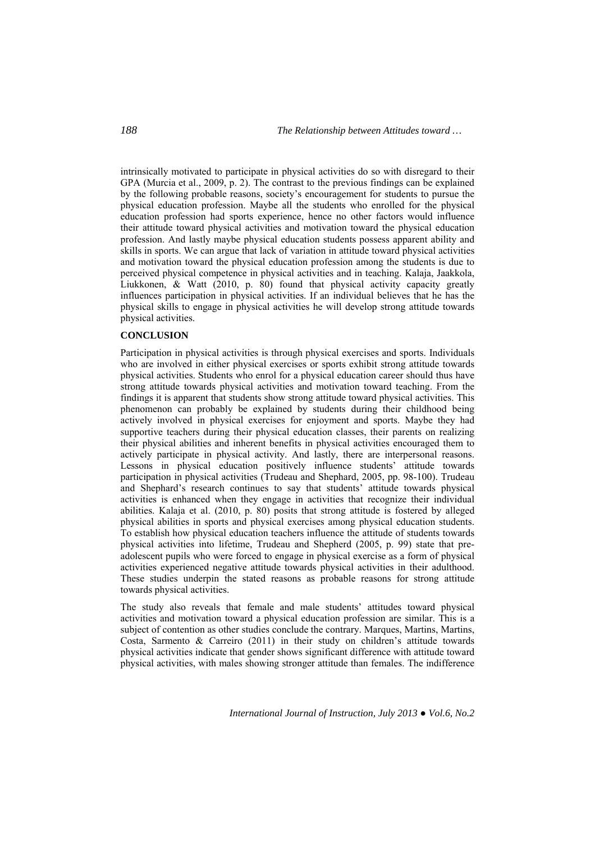intrinsically motivated to participate in physical activities do so with disregard to their GPA (Murcia et al., 2009, p. 2). The contrast to the previous findings can be explained by the following probable reasons, society's encouragement for students to pursue the physical education profession. Maybe all the students who enrolled for the physical education profession had sports experience, hence no other factors would influence their attitude toward physical activities and motivation toward the physical education profession. And lastly maybe physical education students possess apparent ability and skills in sports. We can argue that lack of variation in attitude toward physical activities and motivation toward the physical education profession among the students is due to perceived physical competence in physical activities and in teaching. Kalaja, Jaakkola, Liukkonen, & Watt (2010, p. 80) found that physical activity capacity greatly influences participation in physical activities. If an individual believes that he has the physical skills to engage in physical activities he will develop strong attitude towards physical activities.

## **CONCLUSION**

Participation in physical activities is through physical exercises and sports. Individuals who are involved in either physical exercises or sports exhibit strong attitude towards physical activities. Students who enrol for a physical education career should thus have strong attitude towards physical activities and motivation toward teaching. From the findings it is apparent that students show strong attitude toward physical activities. This phenomenon can probably be explained by students during their childhood being actively involved in physical exercises for enjoyment and sports. Maybe they had supportive teachers during their physical education classes, their parents on realizing their physical abilities and inherent benefits in physical activities encouraged them to actively participate in physical activity. And lastly, there are interpersonal reasons. Lessons in physical education positively influence students' attitude towards participation in physical activities (Trudeau and Shephard, 2005, pp. 98-100). Trudeau and Shephard's research continues to say that students' attitude towards physical activities is enhanced when they engage in activities that recognize their individual abilities. Kalaja et al. (2010, p. 80) posits that strong attitude is fostered by alleged physical abilities in sports and physical exercises among physical education students. To establish how physical education teachers influence the attitude of students towards physical activities into lifetime, Trudeau and Shepherd (2005, p. 99) state that preadolescent pupils who were forced to engage in physical exercise as a form of physical activities experienced negative attitude towards physical activities in their adulthood. These studies underpin the stated reasons as probable reasons for strong attitude towards physical activities.

The study also reveals that female and male students' attitudes toward physical activities and motivation toward a physical education profession are similar. This is a subject of contention as other studies conclude the contrary. Marques, Martins, Martins, Costa, Sarmento & Carreiro (2011) in their study on children's attitude towards physical activities indicate that gender shows significant difference with attitude toward physical activities, with males showing stronger attitude than females. The indifference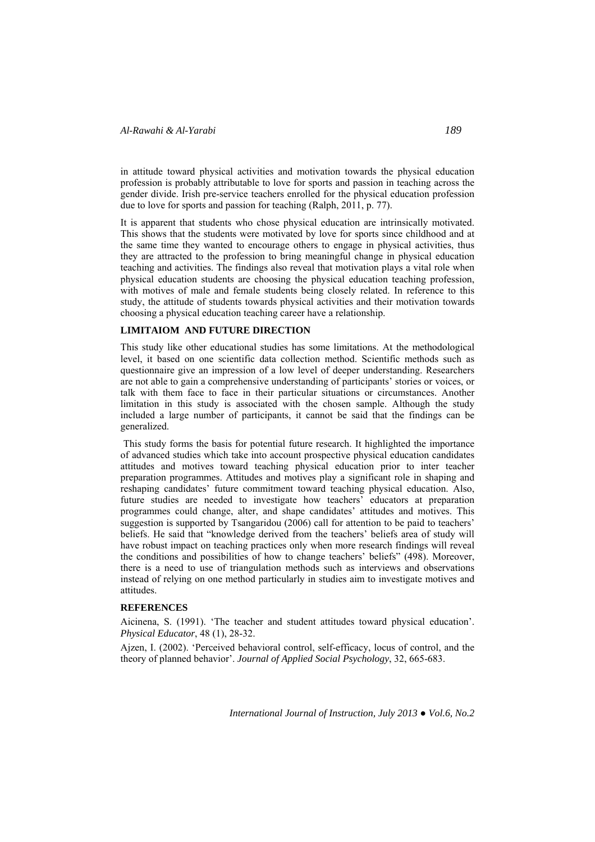in attitude toward physical activities and motivation towards the physical education profession is probably attributable to love for sports and passion in teaching across the gender divide. Irish pre-service teachers enrolled for the physical education profession due to love for sports and passion for teaching (Ralph, 2011, p. 77).

It is apparent that students who chose physical education are intrinsically motivated. This shows that the students were motivated by love for sports since childhood and at the same time they wanted to encourage others to engage in physical activities, thus they are attracted to the profession to bring meaningful change in physical education teaching and activities. The findings also reveal that motivation plays a vital role when physical education students are choosing the physical education teaching profession, with motives of male and female students being closely related. In reference to this study, the attitude of students towards physical activities and their motivation towards choosing a physical education teaching career have a relationship.

## **LIMITAIOM AND FUTURE DIRECTION**

This study like other educational studies has some limitations. At the methodological level, it based on one scientific data collection method. Scientific methods such as questionnaire give an impression of a low level of deeper understanding. Researchers are not able to gain a comprehensive understanding of participants' stories or voices, or talk with them face to face in their particular situations or circumstances. Another limitation in this study is associated with the chosen sample. Although the study included a large number of participants, it cannot be said that the findings can be generalized.

This study forms the basis for potential future research. It highlighted the importance of advanced studies which take into account prospective physical education candidates attitudes and motives toward teaching physical education prior to inter teacher preparation programmes. Attitudes and motives play a significant role in shaping and reshaping candidates' future commitment toward teaching physical education. Also, future studies are needed to investigate how teachers' educators at preparation programmes could change, alter, and shape candidates' attitudes and motives. This suggestion is supported by Tsangaridou (2006) call for attention to be paid to teachers' beliefs. He said that "knowledge derived from the teachers' beliefs area of study will have robust impact on teaching practices only when more research findings will reveal the conditions and possibilities of how to change teachers' beliefs" (498). Moreover, there is a need to use of triangulation methods such as interviews and observations instead of relying on one method particularly in studies aim to investigate motives and attitudes.

#### **REFERENCES**

Aicinena, S. (1991). 'The teacher and student attitudes toward physical education'. *Physical Educator*, 48 (1), 28-32.

Ajzen, I. (2002). 'Perceived behavioral control, self-efficacy, locus of control, and the theory of planned behavior'. *Journal of Applied Social Psychology*, 32, 665-683.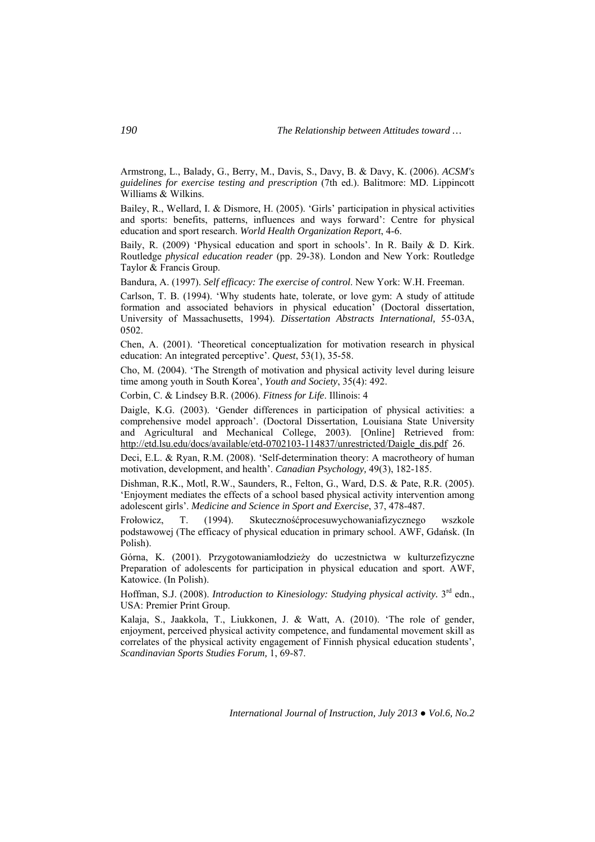Armstrong, L., Balady, G., Berry, M., Davis, S., Davy, B. & Davy, K. (2006). *ACSM's guidelines for exercise testing and prescription* (7th ed.). Balitmore: MD. Lippincott Williams & Wilkins.

Bailey, R., Wellard, I. & Dismore, H. (2005). 'Girls' participation in physical activities and sports: benefits, patterns, influences and ways forward': Centre for physical education and sport research. *World Health Organization Report*, 4-6.

Baily, R. (2009) 'Physical education and sport in schools'. In R. Baily & D. Kirk. Routledge *physical education reader* (pp. 29-38). London and New York: Routledge Taylor & Francis Group.

Bandura, A. (1997). *Self efficacy: The exercise of control*. New York: W.H. Freeman.

Carlson, T. B. (1994). 'Why students hate, tolerate, or love gym: A study of attitude formation and associated behaviors in physical education' (Doctoral dissertation, University of Massachusetts, 1994). *Dissertation Abstracts International,* 55-03A, 0502.

Chen, A. (2001). 'Theoretical conceptualization for motivation research in physical education: An integrated perceptive'. *Quest*, 53(1), 35-58.

Cho, M. (2004). 'The Strength of motivation and physical activity level during leisure time among youth in South Korea', *Youth and Society*, 35(4): 492.

Corbin, C. & Lindsey B.R. (2006). *Fitness for Life*. Illinois: 4

Daigle, K.G. (2003). 'Gender differences in participation of physical activities: a comprehensive model approach'. (Doctoral Dissertation, Louisiana State University and Agricultural and Mechanical College, 2003). [Online] Retrieved from: http://etd.lsu.edu/docs/available/etd-0702103-114837/unrestricted/Daigle\_dis.pdf 26.

Deci, E.L. & Ryan, R.M. (2008). 'Self-determination theory: A macrotheory of human motivation, development, and health'. *Canadian Psychology,* 49(3), 182-185.

Dishman, R.K., Motl, R.W., Saunders, R., Felton, G., Ward, D.S. & Pate, R.R. (2005). 'Enjoyment mediates the effects of a school based physical activity intervention among adolescent girls'. *Medicine and Science in Sport and Exercise*, 37, 478-487.

Frołowicz, T. (1994). Skutecznośćprocesuwychowaniafizycznego wszkole podstawowej (The efficacy of physical education in primary school. AWF, Gdańsk. (In Polish).

Górna, K. (2001). Przygotowaniamłodzieży do uczestnictwa w kulturzefizyczne Preparation of adolescents for participation in physical education and sport. AWF, Katowice. (In Polish).

Hoffman, S.J. (2008). *Introduction to Kinesiology: Studying physical activity*. 3<sup>rd</sup> edn., USA: Premier Print Group.

Kalaja, S., Jaakkola, T., Liukkonen, J. & Watt, A. (2010). 'The role of gender, enjoyment, perceived physical activity competence, and fundamental movement skill as correlates of the physical activity engagement of Finnish physical education students', *Scandinavian Sports Studies Forum,* 1, 69-87.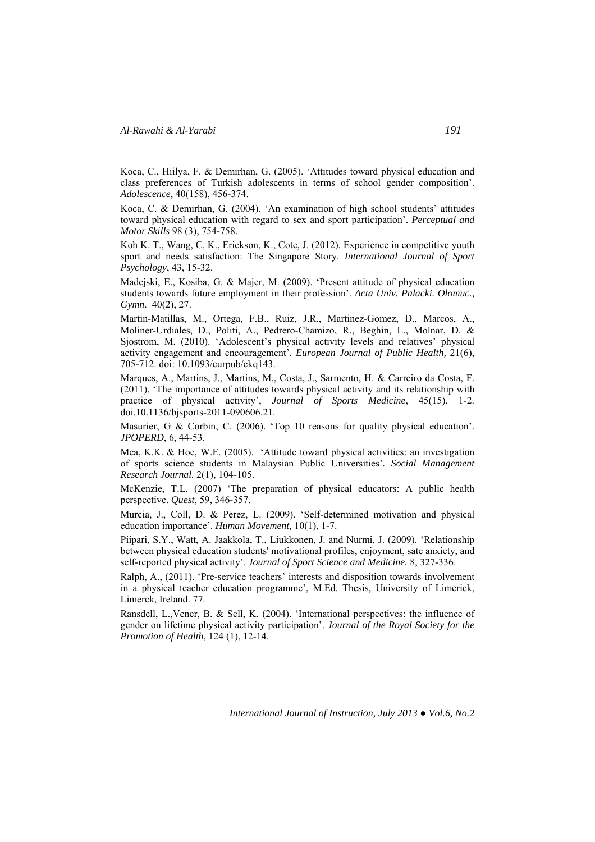Koca, C., Hiilya, F. & Demirhan, G. (2005). 'Attitudes toward physical education and class preferences of Turkish adolescents in terms of school gender composition'. *Adolescence*, 40(158), 456-374.

Koca, C. & Demirhan, G. (2004). 'An examination of high school students' attitudes toward physical education with regard to sex and sport participation'. *Perceptual and Motor Skills* 98 (3), 754-758.

Koh K. T., Wang, C. K., Erickson, K., Cote, J. (2012). Experience in competitive youth sport and needs satisfaction: The Singapore Story. *International Journal of Sport Psychology*, 43, 15-32.

Madejski, E., Kosiba, G. & Majer, M. (2009). 'Present attitude of physical education students towards future employment in their profession'. *Acta Univ. Palacki. Olomuc., Gymn*. 40(2), 27.

Martin-Matillas, M., Ortega, F.B., Ruiz, J.R., Martinez-Gomez, D., Marcos, A., Moliner-Urdiales, D., Politi, A., Pedrero-Chamizo, R., Beghin, L., Molnar, D. & Sjostrom, M. (2010). 'Adolescent's physical activity levels and relatives' physical activity engagement and encouragement'. *European Journal of Public Health,* 21(6), 705-712. doi: 10.1093/eurpub/ckq143.

Marques, A., Martins, J., Martins, M., Costa, J., Sarmento, H. & Carreiro da Costa, F. (2011). 'The importance of attitudes towards physical activity and its relationship with practice of physical activity', *Journal of Sports Medicine*, 45(15), 1-2. doi.10.1136/bjsports-2011-090606.21.

Masurier, G & Corbin, C. (2006). 'Top 10 reasons for quality physical education'. *JPOPERD*, 6, 44-53.

Mea, K.K. & Hoe, W.E. (2005). 'Attitude toward physical activities: an investigation of sports science students in Malaysian Public Universities'*. Social Management Research Journal.* 2(1), 104-105.

McKenzie, T.L. (2007) 'The preparation of physical educators: A public health perspective. *Quest*, 59, 346-357.

Murcia, J., Coll, D. & Perez, L. (2009). 'Self-determined motivation and physical education importance'. *Human Movement,* 10(1), 1-7.

Piipari, S.Y., Watt, A. Jaakkola, T., Liukkonen, J. and Nurmi, J. (2009). 'Relationship between physical education students' motivational profiles, enjoyment, sate anxiety, and self-reported physical activity'. *Journal of Sport Science and Medicine.* 8, 327-336.

Ralph, A., (2011). 'Pre-service teachers' interests and disposition towards involvement in a physical teacher education programme', M.Ed. Thesis, University of Limerick, Limerck, Ireland. 77.

Ransdell, L.,Vener, B. & Sell, K. (2004). 'International perspectives: the influence of gender on lifetime physical activity participation'. *Journal of the Royal Society for the Promotion of Health*, 124 (1), 12-14.